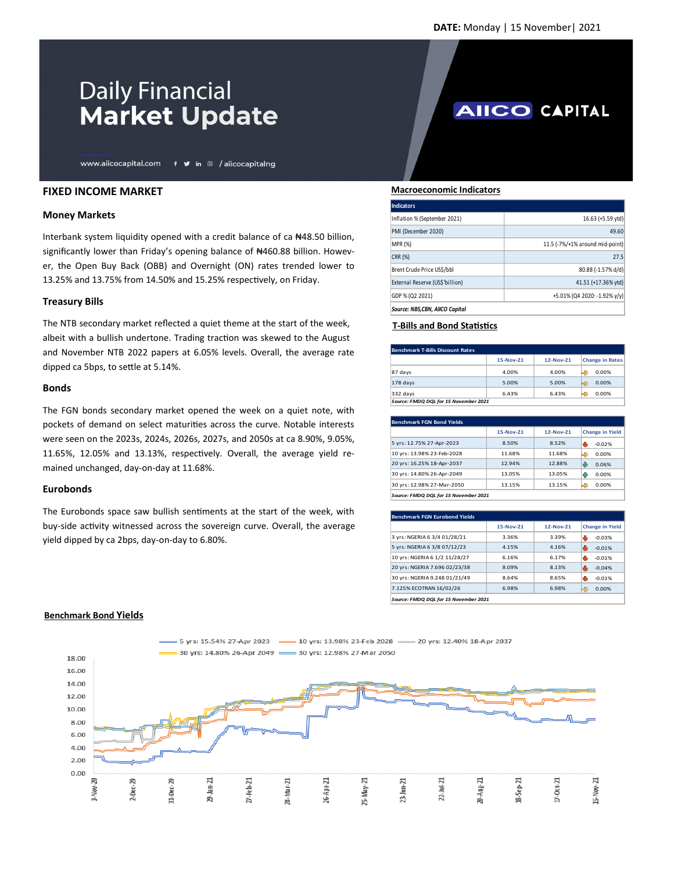**AIICO CAPITAL** 

# **Daily Financial Market Update**

www.aiicocapital.com f y in @ /aiicocapitalng

## **FIXED INCOME MARKET**

### **Money Markets**

Interbank system liquidity opened with a credit balance of ca ₦48.50 billion, significantly lower than Friday's opening balance of #460.88 billion. However, the Open Buy Back (OBB) and Overnight (ON) rates trended lower to 13.25% and 13.75% from 14.50% and 15.25% respectively, on Friday.

### **Treasury Bills**

The NTB secondary market reflected a quiet theme at the start of the week, albeit with a bullish undertone. Trading traction was skewed to the August and November NTB 2022 papers at 6.05% levels. Overall, the average rate dipped ca 5bps, to settle at 5.14%.

#### **Bonds**

The FGN bonds secondary market opened the week on a quiet note, with pockets of demand on select maturities across the curve. Notable interests were seen on the 2023s, 2024s, 2026s, 2027s, and 2050s at ca 8.90%, 9.05%, 11.65%, 12.05% and 13.13%, respectively. Overall, the average yield remained unchanged, day-on-day at 11.68%.

#### **Eurobonds**

The Eurobonds space saw bullish sentiments at the start of the week, with buy-side activity witnessed across the sovereign curve. Overall, the average yield dipped by ca 2bps, day-on-day to 6.80%.

#### **Macroeconomic Indicators**

| Indicators                      |                                 |
|---------------------------------|---------------------------------|
| Inflation % (September 2021)    | 16.63 (+5.59 ytd)               |
| PMI (December 2020)             | 49.60                           |
| <b>MPR (%)</b>                  | 11.5 (-7%/+1% around mid-point) |
| CRR (%)                         | 27.5                            |
| Brent Crude Price US\$/bbl      | 80.88 (-1.57% d/d)              |
| External Reserve (US\$'billion) | 41.51 (+17.36% ytd)             |
| GDP % (Q2 2021)                 | +5.01% (Q4 2020: -1.92% y/y)    |
| Source: NBS.CBN, AIICO Capital  |                                 |

## **T-Bills and Bond Statistics**

| <b>Benchmark T-Bills Discount Rates</b> |             |           |                        |  |
|-----------------------------------------|-------------|-----------|------------------------|--|
|                                         | $15-Nov-21$ | 12-Nov-21 | <b>Change in Rates</b> |  |
| 87 days                                 | 4.00%       | 4.00%     | Ð<br>0.00%             |  |
| $178$ days                              | 5.00%       | 5.00%     | つ<br>0.00%             |  |
| $332$ days                              | 6.43%       | 6.43%     | 0.00%<br>e)            |  |
| Source: FMDQ DQL for 15 November 2021   |             |           |                        |  |

| Benchmark FGN Bond Yields             |             |             |                        |  |
|---------------------------------------|-------------|-------------|------------------------|--|
|                                       | $15-Nov-21$ | $12-Nov-21$ | <b>Change in Yield</b> |  |
| 5 yrs: 12.75% 27-Apr-2023             | 8.50%       | 8.52%       | $-0.02%$               |  |
| 10 yrs: 13.98% 23-Feb-2028            | 11.68%      | 11.68%      | Ð<br>0.00%             |  |
| 20 yrs: 16.25% 18-Apr-2037            | 12.94%      | 12.88%      | ИP<br>0.06%            |  |
| 30 yrs: 14.80% 26-Apr-2049            | 13.05%      | 13.05%      | 0.00%<br>ИP            |  |
| 30 yrs: 12.98% 27-Mar-2050            | 13.15%      | 13.15%      | ♣<br>0.00%             |  |
| Source: FMDQ DQL for 15 November 2021 |             |             |                        |  |

| Benchmark FGN Eurobond Yields         |             |             |                        |  |
|---------------------------------------|-------------|-------------|------------------------|--|
|                                       | $15-Nov-21$ | $12-Nov-21$ | <b>Change in Yield</b> |  |
| 3 yrs: NGERIA 6 3/4 01/28/21          | 3.36%       | 3.39%       | $-0.03%$               |  |
| 5 yrs: NGERIA 6 3/8 07/12/23          | 4.15%       | 4.16%       | ш<br>$-0.01%$          |  |
| 10 yrs: NGERIA 6 1/2 11/28/27         | 6.16%       | 6.17%       | $-0.01%$               |  |
| 20 yrs: NGERIA 7.696 02/23/38         | 8.09%       | 8.13%       | ۱b<br>$-0.04%$         |  |
| 30 vrs: NGERIA 9.248 01/21/49         | 8.64%       | 8.65%       | ъĿ<br>$-0.01%$         |  |
| 7.125% ECOTRAN 16/02/26               | 6.98%       | 6.98%       | 臣<br>$0.00\%$          |  |
| Source: FMDQ DQL for 15 November 2021 |             |             |                        |  |



#### **Benchmark Bond Yields**